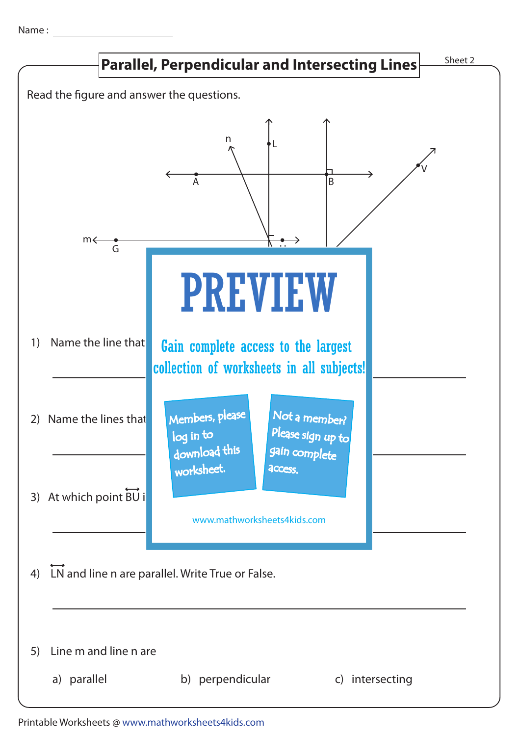Name: